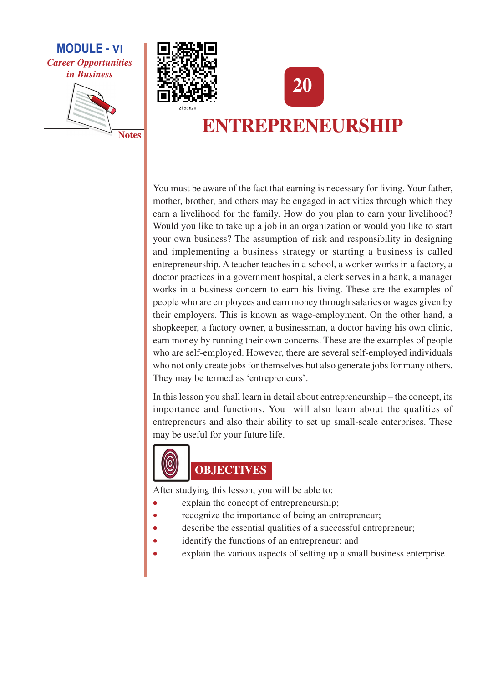

**Notes** 





# ENTREPRENEURSHIP

You must be aware of the fact that earning is necessary for living. Your father, mother, brother, and others may be engaged in activities through which they earn a livelihood for the family. How do you plan to earn your livelihood? Would you like to take up a job in an organization or would you like to start your own business? The assumption of risk and responsibility in designing and implementing a business strategy or starting a business is called entrepreneurship. A teacher teaches in a school, a worker works in a factory, a doctor practices in a government hospital, a clerk serves in a bank, a manager works in a business concern to earn his living. These are the examples of people who are employees and earn money through salaries or wages given by their employers. This is known as wage-employment. On the other hand, a shopkeeper, a factory owner, a businessman, a doctor having his own clinic, earn money by running their own concerns. These are the examples of people who are self-employed. However, there are several self-employed individuals who not only create jobs for themselves but also generate jobs for many others. They may be termed as 'entrepreneurs'.

In this lesson you shall learn in detail about entrepreneurship – the concept, its importance and functions. You will also learn about the qualities of entrepreneurs and also their ability to set up small-scale enterprises. These may be useful for your future life.



# **OBJECTIVES**

After studying this lesson, you will be able to:

- explain the concept of entrepreneurship;
- recognize the importance of being an entrepreneur;
- describe the essential qualities of a successful entrepreneur;
- identify the functions of an entrepreneur; and Ä
- explain the various aspects of setting up a small business enterprise.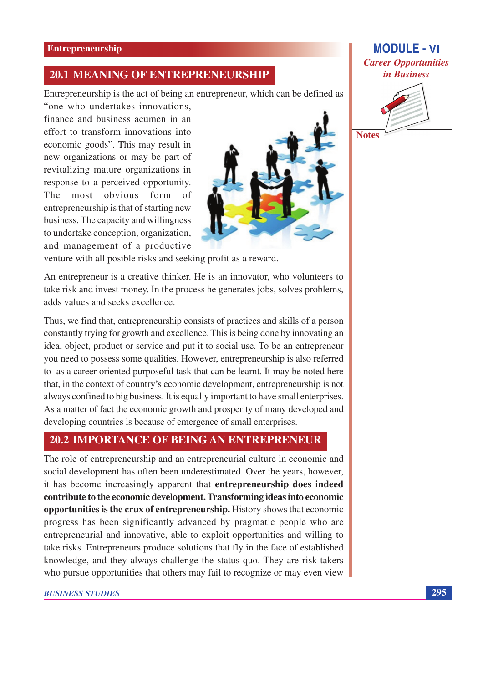#### **20.1 MEANING OF ENTREPRENEURSHIP**

Entrepreneurship is the act of being an entrepreneur, which can be defined as

"one who undertakes innovations. finance and business acumen in an effort to transform innovations into economic goods". This may result in new organizations or may be part of revitalizing mature organizations in response to a perceived opportunity. The most obvious form of entrepreneurship is that of starting new business. The capacity and willingness to undertake conception, organization, and management of a productive



venture with all posible risks and seeking profit as a reward.

An entrepreneur is a creative thinker. He is an innovator, who volunteers to take risk and invest money. In the process he generates jobs, solves problems, adds values and seeks excellence.

Thus, we find that, entrepreneurship consists of practices and skills of a person constantly trying for growth and excellence. This is being done by innovating an idea, object, product or service and put it to social use. To be an entrepreneur you need to possess some qualities. However, entrepreneurship is also referred to as a career oriented purposeful task that can be learnt. It may be noted here that, in the context of country's economic development, entrepreneurship is not always confined to big business. It is equally important to have small enterprises. As a matter of fact the economic growth and prosperity of many developed and developing countries is because of emergence of small enterprises.

### **20.2 IMPORTANCE OF BEING AN ENTREPRENEUR**

The role of entrepreneurship and an entrepreneurial culture in economic and social development has often been underestimated. Over the years, however, it has become increasingly apparent that entrepreneurship does indeed contribute to the economic development. Transforming ideas into economic opportunities is the crux of entrepreneurship. History shows that economic progress has been significantly advanced by pragmatic people who are entrepreneurial and innovative, able to exploit opportunities and willing to take risks. Entrepreneurs produce solutions that fly in the face of established knowledge, and they always challenge the status quo. They are risk-takers who pursue opportunities that others may fail to recognize or may even view

### **MODULE - VI Career Opportunities** in Business



**Notes**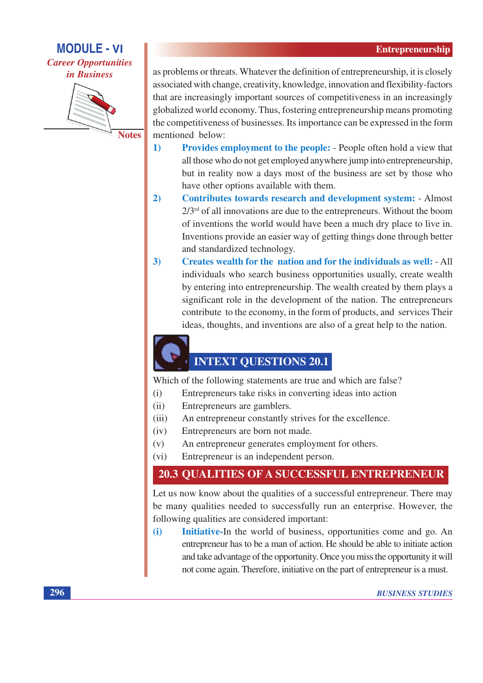**MODULE - VI Career Opportunities** *in Business* 



as problems or threats. Whatever the definition of entrepreneurship, it is closely associated with change, creativity, knowledge, innovation and flexibility-factors that are increasingly important sources of competitiveness in an increasingly globalized world economy. Thus, fostering entrepreneurship means promoting the competitiveness of businesses. Its importance can be expressed in the form mentioned below:

- $\mathbf{1}$ **Provides employment to the people:** - People often hold a view that all those who do not get employed anywhere jump into entrepreneurship, but in reality now a days most of the business are set by those who have other options available with them.
- $2)$ **Contributes towards research and development system: - Almost**  $2/3$ <sup>rd</sup> of all innovations are due to the entrepreneurs. Without the boom of inventions the world would have been a much dry place to live in. Inventions provide an easier way of getting things done through better and standardized technology.
- $3)$ Creates wealth for the nation and for the individuals as well: - All individuals who search business opportunities usually, create wealth by entering into entrepreneurship. The wealth created by them plays a significant role in the development of the nation. The entrepreneurs contribute to the economy, in the form of products, and services Their ideas, thoughts, and inventions are also of a great help to the nation.

# **INTEXT QUESTIONS 20.1**

Which of the following statements are true and which are false?

- Entrepreneurs take risks in converting ideas into action  $(i)$
- $(ii)$ Entrepreneurs are gamblers.
- An entrepreneur constantly strives for the excellence.  $(iii)$
- Entrepreneurs are born not made.  $(iv)$
- $(v)$ An entrepreneur generates employment for others.
- $(vi)$ Entrepreneur is an independent person.

### **20.3 QUALITIES OF A SUCCESSFUL ENTREPRENEUR**

Let us now know about the qualities of a successful entrepreneur. There may be many qualities needed to successfully run an enterprise. However, the following qualities are considered important:

Initiative-In the world of business, opportunities come and go. An  $(i)$ entrepreneur has to be a man of action. He should be able to initiate action and take advantage of the opportunity. Once you miss the opportunity it will not come again. Therefore, initiative on the part of entrepreneur is a must.

296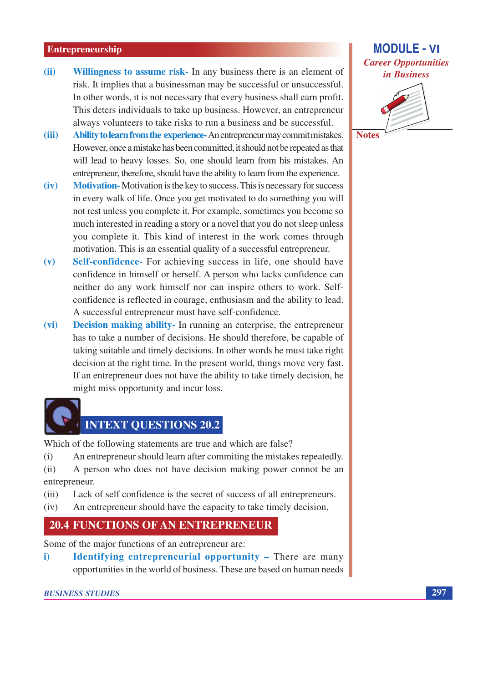- Willingness to assume risk- In any business there is an element of  $(ii)$ risk. It implies that a businessman may be successful or unsuccessful. In other words, it is not necessary that every business shall earn profit. This deters individuals to take up business. However, an entrepreneur always volunteers to take risks to run a business and be successful.
- $(iii)$ Ability to learn from the experience- An entrepreneur may commit mistakes. However, once a mistake has been committed, it should not be repeated as that will lead to heavy losses. So, one should learn from his mistakes. An entrepreneur, therefore, should have the ability to learn from the experience.
- $(iv)$ **Motivation-** Motivation is the key to success. This is necessary for success in every walk of life. Once you get motivated to do something you will not rest unless you complete it. For example, sometimes you become so much interested in reading a story or a novel that you do not sleep unless you complete it. This kind of interest in the work comes through motivation. This is an essential quality of a successful entrepreneur.
- Self-confidence- For achieving success in life, one should have  $(v)$ confidence in himself or herself. A person who lacks confidence can neither do any work himself nor can inspire others to work. Selfconfidence is reflected in courage, enthusiasm and the ability to lead. A successful entrepreneur must have self-confidence.
- Decision making ability- In running an enterprise, the entrepreneur  $(vi)$ has to take a number of decisions. He should therefore, be capable of taking suitable and timely decisions. In other words he must take right decision at the right time. In the present world, things move very fast. If an entrepreneur does not have the ability to take timely decision, he might miss opportunity and incur loss.



## **INTEXT QUESTIONS 20.2**

Which of the following statements are true and which are false?

- $(i)$ An entrepreneur should learn after commiting the mistakes repeatedly.
- A person who does not have decision making power connot be an  $(ii)$ entrepreneur.
- Lack of self confidence is the secret of success of all entrepreneurs.  $(iii)$
- An entrepreneur should have the capacity to take timely decision.  $(iv)$

#### **20.4 FUNCTIONS OF AN ENTREPRENEUR**

Some of the major functions of an entrepreneur are:

**Identifying entrepreneurial opportunity - There are many** i) opportunities in the world of business. These are based on human needs

# **MODULE - VI Career Opportunities** in Business

**Notes** 

297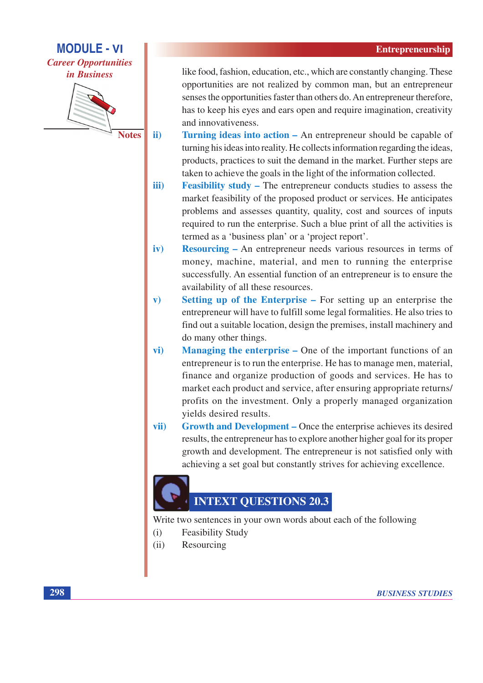### **MODULE - VI Career Opportunities** *in Business*



**Notes** 

ii)

like food, fashion, education, etc., which are constantly changing. These opportunities are not realized by common man, but an entrepreneur senses the opportunities faster than others do. An entrepreneur therefore, has to keep his eyes and ears open and require imagination, creativity and innovativeness.

- Turning ideas into action An entrepreneur should be capable of turning his ideas into reality. He collects information regarding the ideas. products, practices to suit the demand in the market. Further steps are taken to achieve the goals in the light of the information collected.
- iii) **Feasibility study – The entrepreneur conducts studies to assess the** market feasibility of the proposed product or services. He anticipates problems and assesses quantity, quality, cost and sources of inputs required to run the enterprise. Such a blue print of all the activities is termed as a 'business plan' or a 'project report'.
- iv) **Resourcing – An entrepreneur needs various resources in terms of** money, machine, material, and men to running the enterprise successfully. An essential function of an entrepreneur is to ensure the availability of all these resources.
- **Setting up of the Enterprise For setting up an enterprise the**  $\mathbf{v}$ entrepreneur will have to fulfill some legal formalities. He also tries to find out a suitable location, design the premises, install machinery and do many other things.
- vi) **Managing the enterprise – One** of the important functions of an entrepreneur is to run the enterprise. He has to manage men, material, finance and organize production of goods and services. He has to market each product and service, after ensuring appropriate returns/ profits on the investment. Only a properly managed organization vields desired results.
- **Growth and Development Once the enterprise achieves its desired** vii) results, the entrepreneur has to explore another higher goal for its proper growth and development. The entrepreneur is not satisfied only with achieving a set goal but constantly strives for achieving excellence.

# **INTEXT OUESTIONS 20.3**

Write two sentences in your own words about each of the following

- $(i)$ **Feasibility Study**
- $(ii)$ Resourcing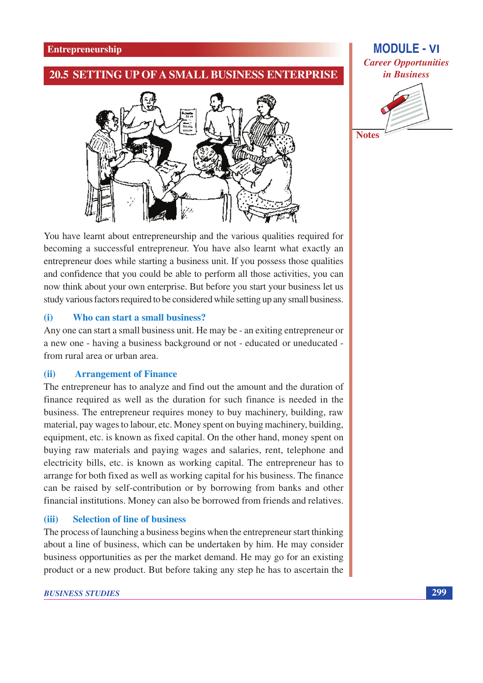#### 20.5 SETTING UP OF A SMALL BUSINESS ENTERPRISE



## **MODULE - VI Career Opportunities** in Business



You have learnt about entrepreneurship and the various qualities required for becoming a successful entrepreneur. You have also learnt what exactly an entrepreneur does while starting a business unit. If you possess those qualities and confidence that you could be able to perform all those activities, you can now think about your own enterprise. But before you start your business let us study various factors required to be considered while setting up any small business.

#### Who can start a small business?  $(i)$

Any one can start a small business unit. He may be - an exiting entrepreneur or a new one - having a business background or not - educated or uneducated from rural area or urban area.

#### $(ii)$ **Arrangement of Finance**

The entrepreneur has to analyze and find out the amount and the duration of finance required as well as the duration for such finance is needed in the business. The entrepreneur requires money to buy machinery, building, raw material, pay wages to labour, etc. Money spent on buying machinery, building, equipment, etc. is known as fixed capital. On the other hand, money spent on buying raw materials and paying wages and salaries, rent, telephone and electricity bills, etc. is known as working capital. The entrepreneur has to arrange for both fixed as well as working capital for his business. The finance can be raised by self-contribution or by borrowing from banks and other financial institutions. Money can also be borrowed from friends and relatives.

#### $(iii)$ **Selection of line of business**

The process of launching a business begins when the entrepreneur start thinking about a line of business, which can be undertaken by him. He may consider business opportunities as per the market demand. He may go for an existing product or a new product. But before taking any step he has to ascertain the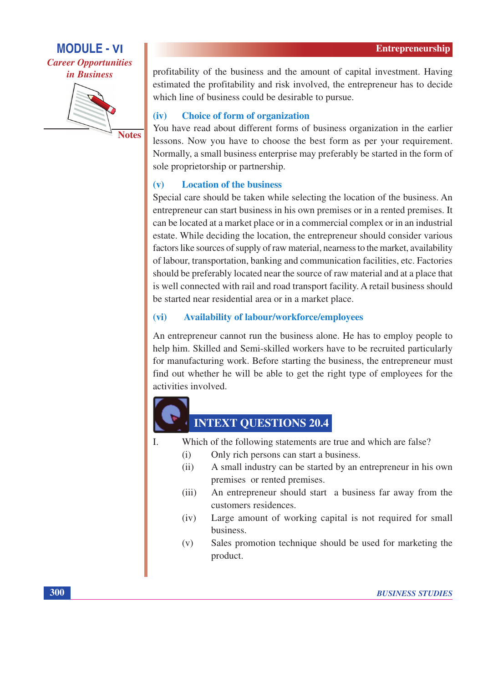### **MODULE - VI Career Opportunities** *in Business*



**Notes** 

profitability of the business and the amount of capital investment. Having estimated the profitability and risk involved, the entrepreneur has to decide which line of business could be desirable to pursue.

#### **Choice of form of organization**  $(iv)$

You have read about different forms of business organization in the earlier lessons. Now you have to choose the best form as per your requirement. Normally, a small business enterprise may preferably be started in the form of sole proprietorship or partnership.

#### **Location of the business**  $(v)$

Special care should be taken while selecting the location of the business. An entrepreneur can start business in his own premises or in a rented premises. It can be located at a market place or in a commercial complex or in an industrial estate. While deciding the location, the entrepreneur should consider various factors like sources of supply of raw material, nearness to the market, availability of labour, transportation, banking and communication facilities, etc. Factories should be preferably located near the source of raw material and at a place that is well connected with rail and road transport facility. A retail business should be started near residential area or in a market place.

#### **Availability of labour/workforce/employees**  $(vi)$

An entrepreneur cannot run the business alone. He has to employ people to help him. Skilled and Semi-skilled workers have to be recruited particularly for manufacturing work. Before starting the business, the entrepreneur must find out whether he will be able to get the right type of employees for the activities involved.



# **INTEXT QUESTIONS 20.4**

- $\mathbf{L}$ Which of the following statements are true and which are false?
	- Only rich persons can start a business.  $(i)$
	- A small industry can be started by an entrepreneur in his own  $(i)$ premises or rented premises.
	- An entrepreneur should start a business far away from the  $(iii)$ customers residences.
	- $(iv)$ Large amount of working capital is not required for small **business**
	- Sales promotion technique should be used for marketing the  $(v)$ product.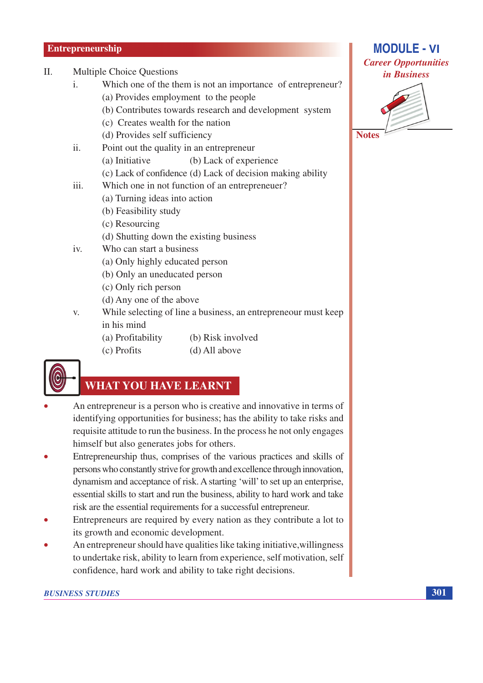- $\Pi$ . **Multiple Choice Questions** 
	- Which one of the them is not an importance of entrepreneur?  $\mathbf{i}$ . (a) Provides employment to the people
		- (b) Contributes towards research and development system
		- (c) Creates wealth for the nation
		- (d) Provides self sufficiency
	- $\ddot{i}$ Point out the quality in an entrepreneur
		- (a) Initiative (b) Lack of experience
		- (c) Lack of confidence (d) Lack of decision making ability
	- iii. Which one in not function of an entrepreneuer?
		- (a) Turning ideas into action
		- (b) Feasibility study
		- (c) Resourcing
		- (d) Shutting down the existing business
	- iv. Who can start a business
		- (a) Only highly educated person
		- (b) Only an uneducated person
		- (c) Only rich person
		- (d) Any one of the above
	- While selecting of line a business, an entreprene our must keep  $V_{\rm A}$ in his mind
		- (a) Profitability (b) Risk involved
		- (c) Profits (d) All above



### **WHAT YOU HAVE LEARNT**

- An entrepreneur is a person who is creative and innovative in terms of identifying opportunities for business; has the ability to take risks and requisite attitude to run the business. In the process he not only engages himself but also generates jobs for others.
- Entrepreneurship thus, comprises of the various practices and skills of persons who constantly strive for growth and excellence through innovation, dynamism and acceptance of risk. A starting 'will' to set up an enterprise, essential skills to start and run the business, ability to hard work and take risk are the essential requirements for a successful entrepreneur.
- Entrepreneurs are required by every nation as they contribute a lot to  $\bullet$ its growth and economic development.
- An entrepreneur should have qualities like taking initiative, willingness to undertake risk, ability to learn from experience, self motivation, self confidence, hard work and ability to take right decisions.



**MODULE - VI**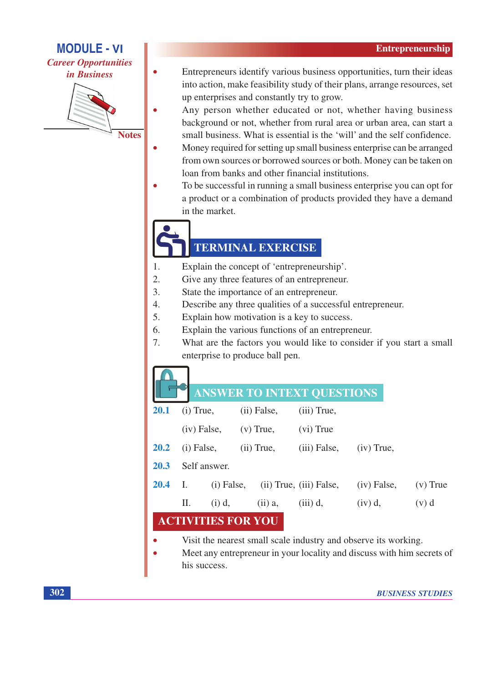**MODULE - VI Career Opportunities** 

*in Business* 



Entrepreneurs identify various business opportunities, turn their ideas into action, make feasibility study of their plans, arrange resources, set up enterprises and constantly try to grow.

- Any person whether educated or not, whether having business background or not, whether from rural area or urban area, can start a small business. What is essential is the 'will' and the self confidence.
- Money required for setting up small business enterprise can be arranged from own sources or borrowed sources or both. Money can be taken on loan from banks and other financial institutions.
- To be successful in running a small business enterprise you can opt for a product or a combination of products provided they have a demand in the market.

# **TERMINAL EXERCISE**

- Explain the concept of 'entrepreneurship'.  $\mathbf{1}$ .
- $2.$ Give any three features of an entrepreneur.
- $\overline{3}$ . State the importance of an entrepreneur.
- $\overline{4}$ . Describe any three qualities of a successful entrepreneur.
- $\overline{5}$ . Explain how motivation is a key to success.
- 6. Explain the various functions of an entrepreneur.
- $\overline{7}$ . What are the factors you would like to consider if you start a small enterprise to produce ball pen.

# **ICWED TO INTEVT OUESTIONS**

|                       |                              |              |             |              | ANSWEIN TO INTEXT QUESTIONS              |               |  |            |
|-----------------------|------------------------------|--------------|-------------|--------------|------------------------------------------|---------------|--|------------|
| <b>20.1</b>           | $(i)$ True,<br>$(iv)$ False, |              | (ii) False, |              | $(iii)$ True,                            |               |  |            |
|                       |                              |              | $(v)$ True, |              | (vi) True                                |               |  |            |
| <b>20.2</b>           |                              | $(i)$ False, |             | $(ii)$ True, | $(iii)$ False,                           | $(iv)$ True,  |  |            |
| <b>20.3</b>           | Self answer.                 |              |             |              |                                          |               |  |            |
| <b>20.4</b>           | - I.                         |              |             |              | $(i)$ False, $(ii)$ True, $(iii)$ False, | $(iv)$ False, |  | $(v)$ True |
|                       | П.                           | $(i)$ d,     |             | $(ii)$ a,    | $(iii)$ d,                               | $(iv)$ d,     |  | $(v)$ d    |
| <b>VITIES FOR YOU</b> |                              |              |             |              |                                          |               |  |            |

- Visit the nearest small scale industry and observe its working.
	- Meet any entrepreneur in your locality and discuss with him secrets of his success.